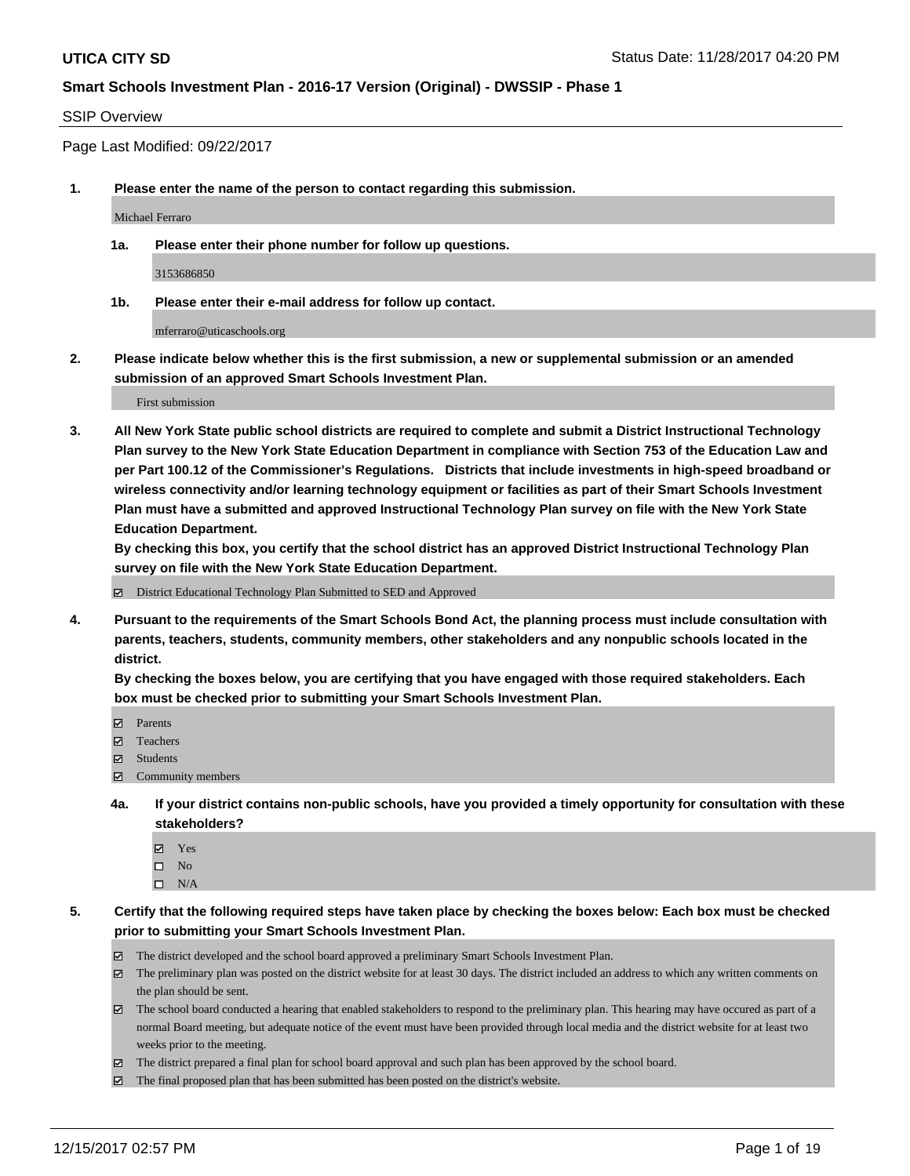## SSIP Overview

Page Last Modified: 09/22/2017

**1. Please enter the name of the person to contact regarding this submission.**

Michael Ferraro

**1a. Please enter their phone number for follow up questions.**

3153686850

**1b. Please enter their e-mail address for follow up contact.**

mferraro@uticaschools.org

**2. Please indicate below whether this is the first submission, a new or supplemental submission or an amended submission of an approved Smart Schools Investment Plan.**

First submission

**3. All New York State public school districts are required to complete and submit a District Instructional Technology Plan survey to the New York State Education Department in compliance with Section 753 of the Education Law and per Part 100.12 of the Commissioner's Regulations. Districts that include investments in high-speed broadband or wireless connectivity and/or learning technology equipment or facilities as part of their Smart Schools Investment Plan must have a submitted and approved Instructional Technology Plan survey on file with the New York State Education Department.** 

**By checking this box, you certify that the school district has an approved District Instructional Technology Plan survey on file with the New York State Education Department.**

District Educational Technology Plan Submitted to SED and Approved

**4. Pursuant to the requirements of the Smart Schools Bond Act, the planning process must include consultation with parents, teachers, students, community members, other stakeholders and any nonpublic schools located in the district.** 

**By checking the boxes below, you are certifying that you have engaged with those required stakeholders. Each box must be checked prior to submitting your Smart Schools Investment Plan.**

- **Parents**
- Teachers
- Students
- $\Xi$  Community members
- **4a. If your district contains non-public schools, have you provided a timely opportunity for consultation with these stakeholders?**
	- **Ø** Yes
	- $\square$  No
	- $\square$  N/A

**5. Certify that the following required steps have taken place by checking the boxes below: Each box must be checked prior to submitting your Smart Schools Investment Plan.**

- The district developed and the school board approved a preliminary Smart Schools Investment Plan.
- The preliminary plan was posted on the district website for at least 30 days. The district included an address to which any written comments on the plan should be sent.
- The school board conducted a hearing that enabled stakeholders to respond to the preliminary plan. This hearing may have occured as part of a normal Board meeting, but adequate notice of the event must have been provided through local media and the district website for at least two weeks prior to the meeting.
- The district prepared a final plan for school board approval and such plan has been approved by the school board.
- $\boxtimes$  The final proposed plan that has been submitted has been posted on the district's website.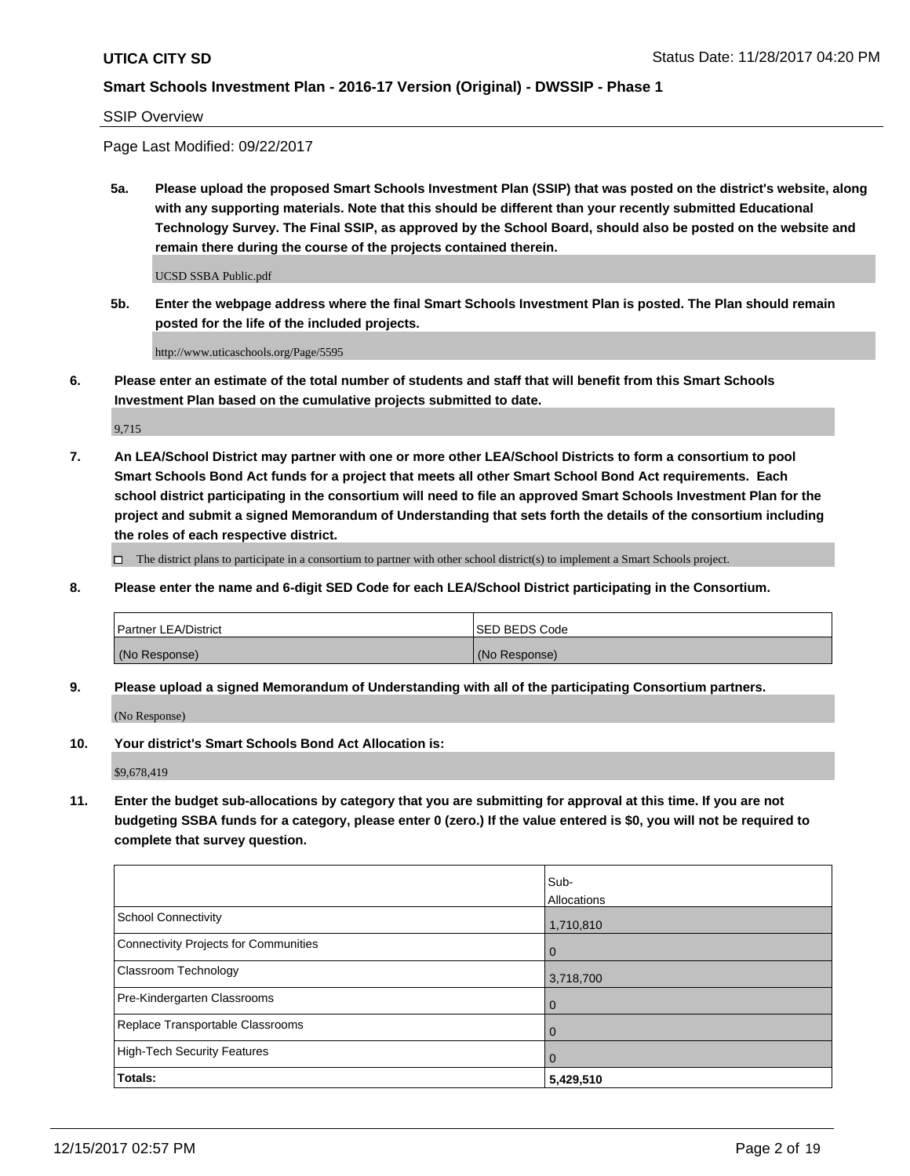SSIP Overview

Page Last Modified: 09/22/2017

**5a. Please upload the proposed Smart Schools Investment Plan (SSIP) that was posted on the district's website, along with any supporting materials. Note that this should be different than your recently submitted Educational Technology Survey. The Final SSIP, as approved by the School Board, should also be posted on the website and remain there during the course of the projects contained therein.**

UCSD SSBA Public.pdf

**5b. Enter the webpage address where the final Smart Schools Investment Plan is posted. The Plan should remain posted for the life of the included projects.**

http://www.uticaschools.org/Page/5595

**6. Please enter an estimate of the total number of students and staff that will benefit from this Smart Schools Investment Plan based on the cumulative projects submitted to date.**

9,715

**7. An LEA/School District may partner with one or more other LEA/School Districts to form a consortium to pool Smart Schools Bond Act funds for a project that meets all other Smart School Bond Act requirements. Each school district participating in the consortium will need to file an approved Smart Schools Investment Plan for the project and submit a signed Memorandum of Understanding that sets forth the details of the consortium including the roles of each respective district.**

 $\Box$  The district plans to participate in a consortium to partner with other school district(s) to implement a Smart Schools project.

**8. Please enter the name and 6-digit SED Code for each LEA/School District participating in the Consortium.**

| <b>Partner LEA/District</b> | <b>ISED BEDS Code</b> |
|-----------------------------|-----------------------|
| (No Response)               | (No Response)         |

**9. Please upload a signed Memorandum of Understanding with all of the participating Consortium partners.**

(No Response)

**10. Your district's Smart Schools Bond Act Allocation is:**

\$9,678,419

**11. Enter the budget sub-allocations by category that you are submitting for approval at this time. If you are not budgeting SSBA funds for a category, please enter 0 (zero.) If the value entered is \$0, you will not be required to complete that survey question.**

|                                       | Sub-        |
|---------------------------------------|-------------|
|                                       | Allocations |
| <b>School Connectivity</b>            | 1,710,810   |
| Connectivity Projects for Communities | $\mathbf 0$ |
| <b>Classroom Technology</b>           | 3,718,700   |
| Pre-Kindergarten Classrooms           | 0           |
| Replace Transportable Classrooms      | 0           |
| <b>High-Tech Security Features</b>    | 0           |
| Totals:                               | 5,429,510   |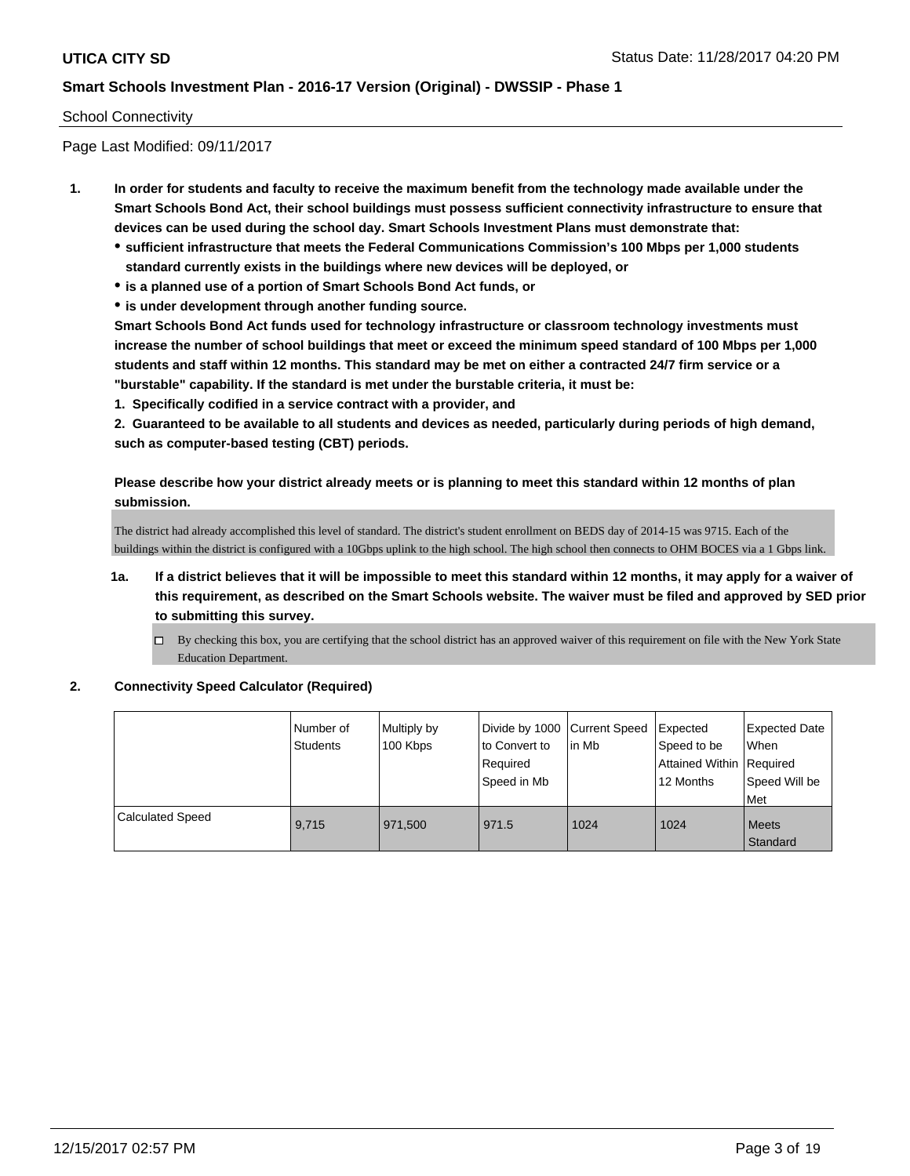## School Connectivity

Page Last Modified: 09/11/2017

- **1. In order for students and faculty to receive the maximum benefit from the technology made available under the Smart Schools Bond Act, their school buildings must possess sufficient connectivity infrastructure to ensure that devices can be used during the school day. Smart Schools Investment Plans must demonstrate that:**
	- **sufficient infrastructure that meets the Federal Communications Commission's 100 Mbps per 1,000 students standard currently exists in the buildings where new devices will be deployed, or**
	- **is a planned use of a portion of Smart Schools Bond Act funds, or**
	- **is under development through another funding source.**

**Smart Schools Bond Act funds used for technology infrastructure or classroom technology investments must increase the number of school buildings that meet or exceed the minimum speed standard of 100 Mbps per 1,000 students and staff within 12 months. This standard may be met on either a contracted 24/7 firm service or a "burstable" capability. If the standard is met under the burstable criteria, it must be:**

**1. Specifically codified in a service contract with a provider, and**

**2. Guaranteed to be available to all students and devices as needed, particularly during periods of high demand, such as computer-based testing (CBT) periods.**

**Please describe how your district already meets or is planning to meet this standard within 12 months of plan submission.**

The district had already accomplished this level of standard. The district's student enrollment on BEDS day of 2014-15 was 9715. Each of the buildings within the district is configured with a 10Gbps uplink to the high school. The high school then connects to OHM BOCES via a 1 Gbps link.

- **1a. If a district believes that it will be impossible to meet this standard within 12 months, it may apply for a waiver of this requirement, as described on the Smart Schools website. The waiver must be filed and approved by SED prior to submitting this survey.**
	- By checking this box, you are certifying that the school district has an approved waiver of this requirement on file with the New York State Education Department.

#### **2. Connectivity Speed Calculator (Required)**

|                  | Number of<br>Students | Multiply by<br>100 Kbps | Divide by 1000   Current Speed<br>to Convert to<br>Required<br>Speed in Mb | In Mb | Expected<br>Speed to be<br>Attained Within Required<br>12 Months | <b>Expected Date</b><br><b>When</b><br>Speed Will be<br>l Met |
|------------------|-----------------------|-------------------------|----------------------------------------------------------------------------|-------|------------------------------------------------------------------|---------------------------------------------------------------|
| Calculated Speed | 9.715                 | 971.500                 | 971.5                                                                      | 1024  | 1024                                                             | <b>Meets</b><br>Standard                                      |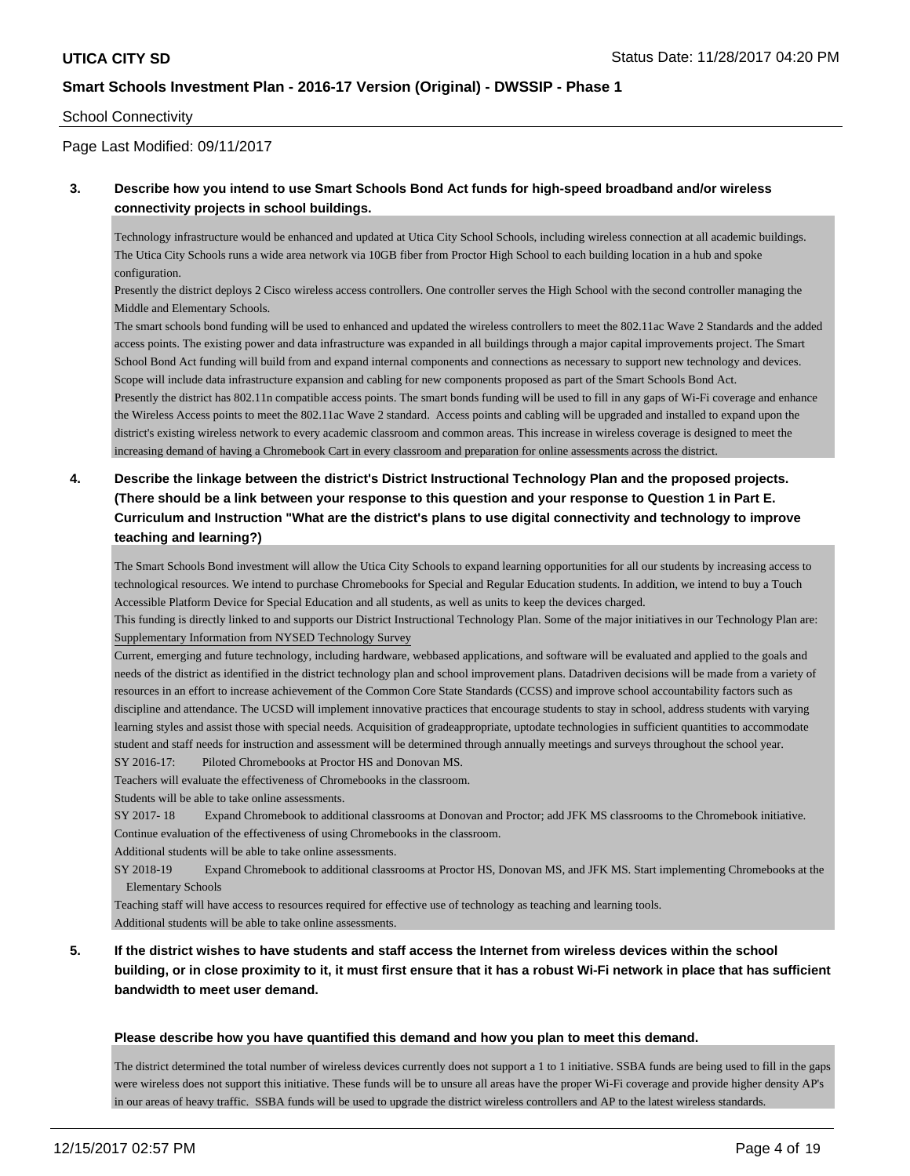## School Connectivity

Page Last Modified: 09/11/2017

## **3. Describe how you intend to use Smart Schools Bond Act funds for high-speed broadband and/or wireless connectivity projects in school buildings.**

Technology infrastructure would be enhanced and updated at Utica City School Schools, including wireless connection at all academic buildings. The Utica City Schools runs a wide area network via 10GB fiber from Proctor High School to each building location in a hub and spoke configuration.

Presently the district deploys 2 Cisco wireless access controllers. One controller serves the High School with the second controller managing the Middle and Elementary Schools.

The smart schools bond funding will be used to enhanced and updated the wireless controllers to meet the 802.11ac Wave 2 Standards and the added access points. The existing power and data infrastructure was expanded in all buildings through a major capital improvements project. The Smart School Bond Act funding will build from and expand internal components and connections as necessary to support new technology and devices. Scope will include data infrastructure expansion and cabling for new components proposed as part of the Smart Schools Bond Act. Presently the district has 802.11n compatible access points. The smart bonds funding will be used to fill in any gaps of Wi-Fi coverage and enhance the Wireless Access points to meet the 802.11ac Wave 2 standard. Access points and cabling will be upgraded and installed to expand upon the district's existing wireless network to every academic classroom and common areas. This increase in wireless coverage is designed to meet the

increasing demand of having a Chromebook Cart in every classroom and preparation for online assessments across the district.

# **4. Describe the linkage between the district's District Instructional Technology Plan and the proposed projects. (There should be a link between your response to this question and your response to Question 1 in Part E. Curriculum and Instruction "What are the district's plans to use digital connectivity and technology to improve teaching and learning?)**

The Smart Schools Bond investment will allow the Utica City Schools to expand learning opportunities for all our students by increasing access to technological resources. We intend to purchase Chromebooks for Special and Regular Education students. In addition, we intend to buy a Touch Accessible Platform Device for Special Education and all students, as well as units to keep the devices charged.

This funding is directly linked to and supports our District Instructional Technology Plan. Some of the major initiatives in our Technology Plan are: Supplementary Information from NYSED Technology Survey

Current, emerging and future technology, including hardware, webbased applications, and software will be evaluated and applied to the goals and needs of the district as identified in the district technology plan and school improvement plans. Datadriven decisions will be made from a variety of resources in an effort to increase achievement of the Common Core State Standards (CCSS) and improve school accountability factors such as discipline and attendance. The UCSD will implement innovative practices that encourage students to stay in school, address students with varying learning styles and assist those with special needs. Acquisition of grade appropriate, up to date technologies in sufficient quantities to accommodate student and staff needs for instruction and assessment will be determined through annually meetings and surveys throughout the school year. SY 2016-17: Piloted Chromebooks at Proctor HS and Donovan MS.

Teachers will evaluate the effectiveness of Chromebooks in the classroom.

Students will be able to take online assessments.

SY 2017- 18 Expand Chromebook to additional classrooms at Donovan and Proctor; add JFK MS classrooms to the Chromebook initiative. Continue evaluation of the effectiveness of using Chromebooks in the classroom.

Additional students will be able to take online assessments.

SY 2018-19 Expand Chromebook to additional classrooms at Proctor HS, Donovan MS, and JFK MS. Start implementing Chromebooks at the Elementary Schools

Teaching staff will have access to resources required for effective use of technology as teaching and learning tools. Additional students will be able to take online assessments.

# **5. If the district wishes to have students and staff access the Internet from wireless devices within the school building, or in close proximity to it, it must first ensure that it has a robust Wi-Fi network in place that has sufficient bandwidth to meet user demand.**

#### **Please describe how you have quantified this demand and how you plan to meet this demand.**

The district determined the total number of wireless devices currently does not support a 1 to 1 initiative. SSBA funds are being used to fill in the gaps were wireless does not support this initiative. These funds will be to unsure all areas have the proper Wi-Fi coverage and provide higher density AP's in our areas of heavy traffic. SSBA funds will be used to upgrade the district wireless controllers and AP to the latest wireless standards.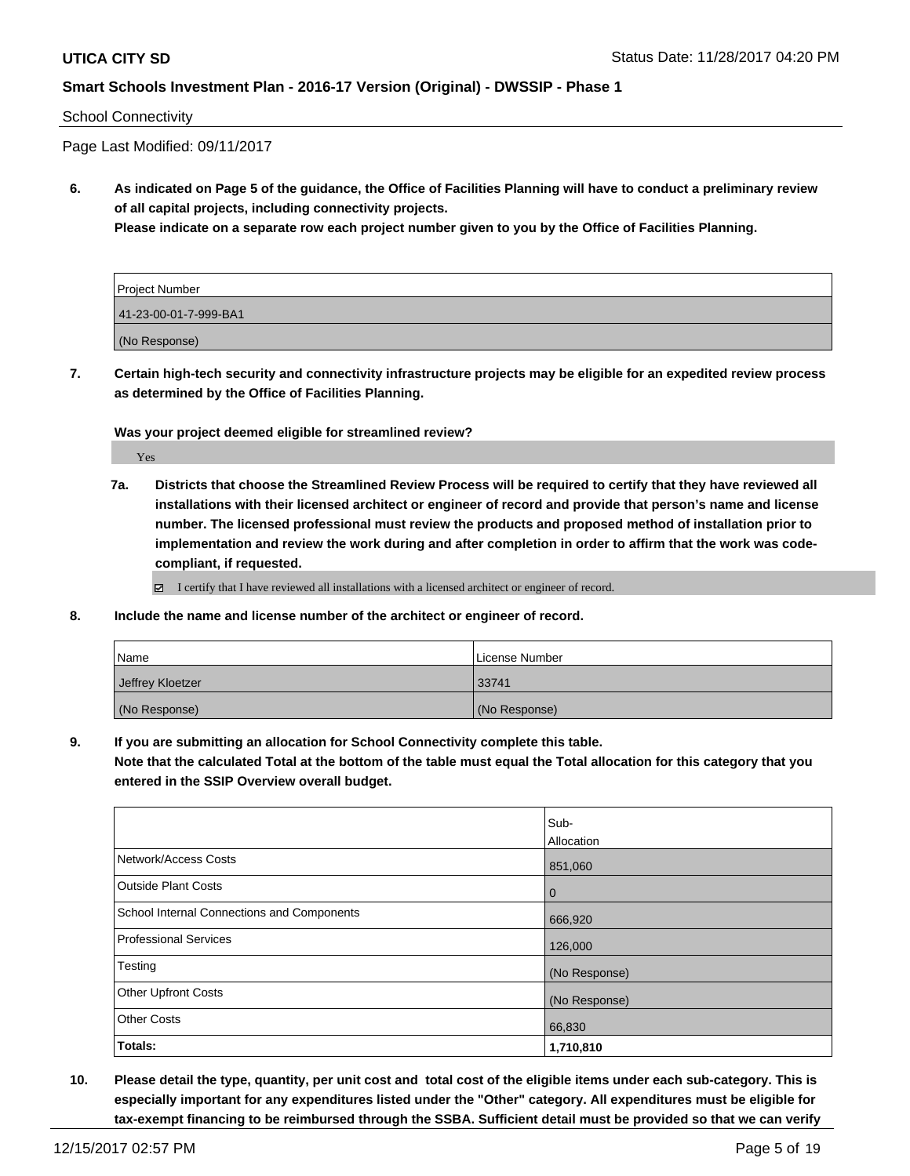## School Connectivity

Page Last Modified: 09/11/2017

**6. As indicated on Page 5 of the guidance, the Office of Facilities Planning will have to conduct a preliminary review of all capital projects, including connectivity projects.**

**Please indicate on a separate row each project number given to you by the Office of Facilities Planning.**

| Project Number        |  |
|-----------------------|--|
| 41-23-00-01-7-999-BA1 |  |
| (No Response)         |  |

**7. Certain high-tech security and connectivity infrastructure projects may be eligible for an expedited review process as determined by the Office of Facilities Planning.**

**Was your project deemed eligible for streamlined review?**

Yes

**7a. Districts that choose the Streamlined Review Process will be required to certify that they have reviewed all installations with their licensed architect or engineer of record and provide that person's name and license number. The licensed professional must review the products and proposed method of installation prior to implementation and review the work during and after completion in order to affirm that the work was codecompliant, if requested.**

 $\boxtimes$  I certify that I have reviewed all installations with a licensed architect or engineer of record.

**8. Include the name and license number of the architect or engineer of record.**

| Name             | License Number |
|------------------|----------------|
| Jeffrey Kloetzer | 33741          |
| (No Response)    | (No Response)  |

**9. If you are submitting an allocation for School Connectivity complete this table.**

**Note that the calculated Total at the bottom of the table must equal the Total allocation for this category that you entered in the SSIP Overview overall budget.** 

|                                            | Sub-          |
|--------------------------------------------|---------------|
|                                            | Allocation    |
| Network/Access Costs                       | 851,060       |
| <b>Outside Plant Costs</b>                 | l 0           |
| School Internal Connections and Components | 666,920       |
| Professional Services                      | 126,000       |
| Testing                                    | (No Response) |
| <b>Other Upfront Costs</b>                 | (No Response) |
| <b>Other Costs</b>                         | 66,830        |
| Totals:                                    | 1,710,810     |

**10. Please detail the type, quantity, per unit cost and total cost of the eligible items under each sub-category. This is especially important for any expenditures listed under the "Other" category. All expenditures must be eligible for tax-exempt financing to be reimbursed through the SSBA. Sufficient detail must be provided so that we can verify**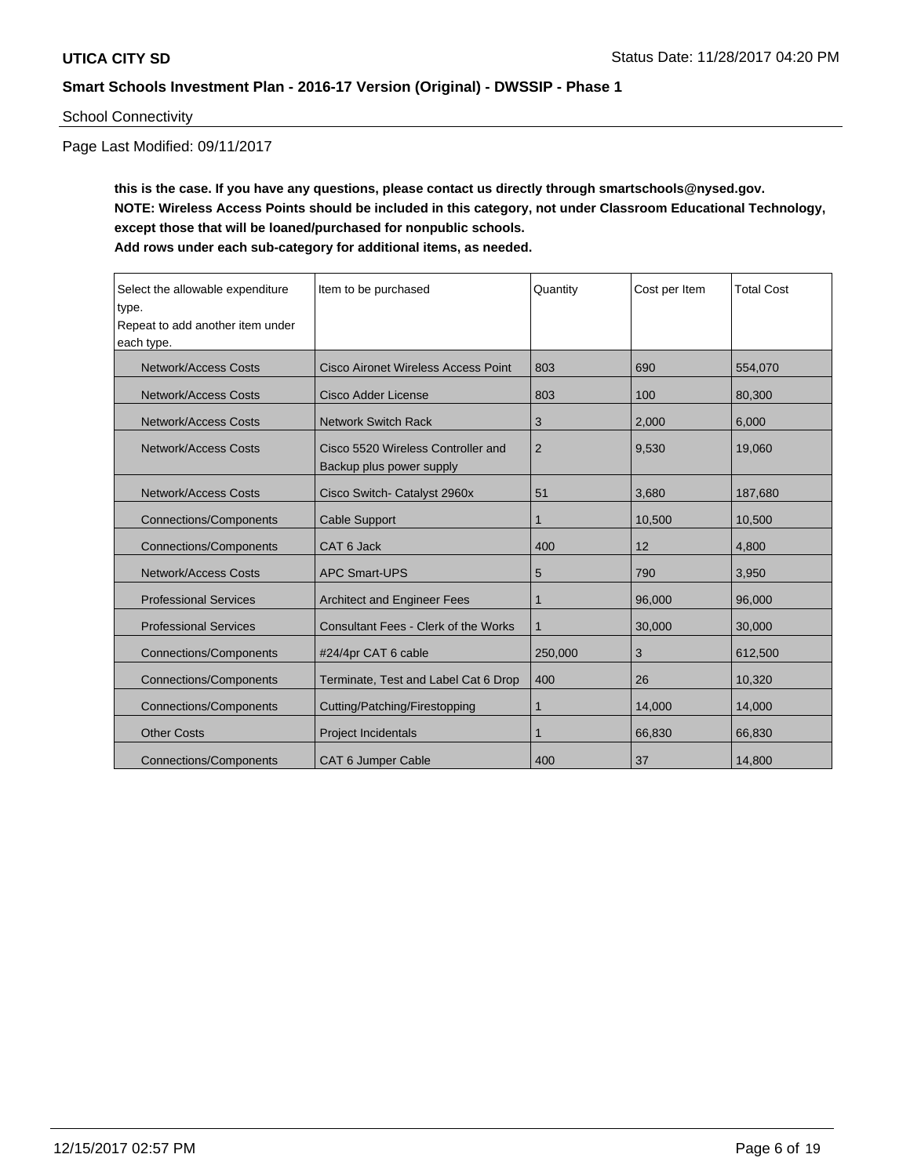## School Connectivity

Page Last Modified: 09/11/2017

**this is the case. If you have any questions, please contact us directly through smartschools@nysed.gov. NOTE: Wireless Access Points should be included in this category, not under Classroom Educational Technology, except those that will be loaned/purchased for nonpublic schools. Add rows under each sub-category for additional items, as needed.**

| Select the allowable expenditure<br>type.<br>Repeat to add another item under<br>each type. | Item to be purchased                                           | Quantity       | Cost per Item | <b>Total Cost</b> |
|---------------------------------------------------------------------------------------------|----------------------------------------------------------------|----------------|---------------|-------------------|
| <b>Network/Access Costs</b>                                                                 | <b>Cisco Aironet Wireless Access Point</b>                     | 803            | 690           | 554,070           |
| <b>Network/Access Costs</b>                                                                 | Cisco Adder License                                            | 803            | 100           | 80.300            |
| <b>Network/Access Costs</b>                                                                 | <b>Network Switch Rack</b>                                     | 3              | 2,000         | 6.000             |
| <b>Network/Access Costs</b>                                                                 | Cisco 5520 Wireless Controller and<br>Backup plus power supply | $\overline{2}$ | 9.530         | 19.060            |
| <b>Network/Access Costs</b>                                                                 | Cisco Switch- Catalyst 2960x                                   | 51             | 3,680         | 187,680           |
| <b>Connections/Components</b>                                                               | <b>Cable Support</b>                                           |                | 10,500        | 10,500            |
| <b>Connections/Components</b>                                                               | CAT 6 Jack                                                     | 400            | 12            | 4.800             |
| <b>Network/Access Costs</b>                                                                 | <b>APC Smart-UPS</b>                                           | 5              | 790           | 3,950             |
| <b>Professional Services</b>                                                                | <b>Architect and Engineer Fees</b>                             | 1              | 96,000        | 96,000            |
| <b>Professional Services</b>                                                                | <b>Consultant Fees - Clerk of the Works</b>                    | 1              | 30,000        | 30,000            |
| <b>Connections/Components</b>                                                               | #24/4pr CAT 6 cable                                            | 250,000        | 3             | 612,500           |
| <b>Connections/Components</b>                                                               | Terminate, Test and Label Cat 6 Drop                           | 400            | 26            | 10,320            |
| <b>Connections/Components</b>                                                               | Cutting/Patching/Firestopping                                  | 1              | 14,000        | 14,000            |
| <b>Other Costs</b>                                                                          | <b>Project Incidentals</b>                                     | 1              | 66,830        | 66,830            |
| <b>Connections/Components</b>                                                               | CAT 6 Jumper Cable                                             | 400            | 37            | 14,800            |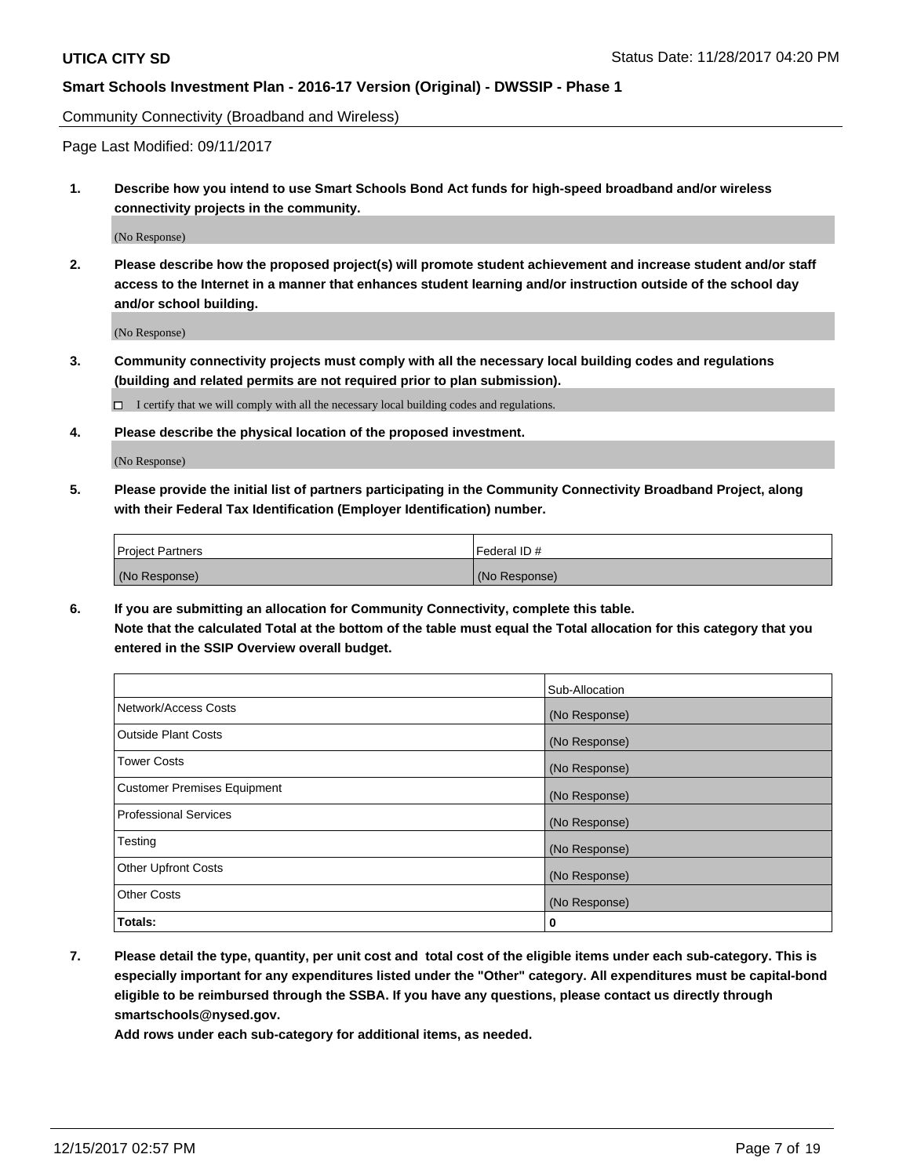Community Connectivity (Broadband and Wireless)

Page Last Modified: 09/11/2017

**1. Describe how you intend to use Smart Schools Bond Act funds for high-speed broadband and/or wireless connectivity projects in the community.**

(No Response)

**2. Please describe how the proposed project(s) will promote student achievement and increase student and/or staff access to the Internet in a manner that enhances student learning and/or instruction outside of the school day and/or school building.**

(No Response)

**3. Community connectivity projects must comply with all the necessary local building codes and regulations (building and related permits are not required prior to plan submission).**

 $\Box$  I certify that we will comply with all the necessary local building codes and regulations.

**4. Please describe the physical location of the proposed investment.**

(No Response)

**5. Please provide the initial list of partners participating in the Community Connectivity Broadband Project, along with their Federal Tax Identification (Employer Identification) number.**

| <b>Project Partners</b> | l Federal ID # |
|-------------------------|----------------|
| (No Response)           | (No Response)  |

**6. If you are submitting an allocation for Community Connectivity, complete this table. Note that the calculated Total at the bottom of the table must equal the Total allocation for this category that you entered in the SSIP Overview overall budget.**

|                                    | Sub-Allocation |
|------------------------------------|----------------|
| Network/Access Costs               | (No Response)  |
| <b>Outside Plant Costs</b>         | (No Response)  |
| <b>Tower Costs</b>                 | (No Response)  |
| <b>Customer Premises Equipment</b> | (No Response)  |
| <b>Professional Services</b>       | (No Response)  |
| Testing                            | (No Response)  |
| <b>Other Upfront Costs</b>         | (No Response)  |
| <b>Other Costs</b>                 | (No Response)  |
| Totals:                            | 0              |

**7. Please detail the type, quantity, per unit cost and total cost of the eligible items under each sub-category. This is especially important for any expenditures listed under the "Other" category. All expenditures must be capital-bond eligible to be reimbursed through the SSBA. If you have any questions, please contact us directly through smartschools@nysed.gov.**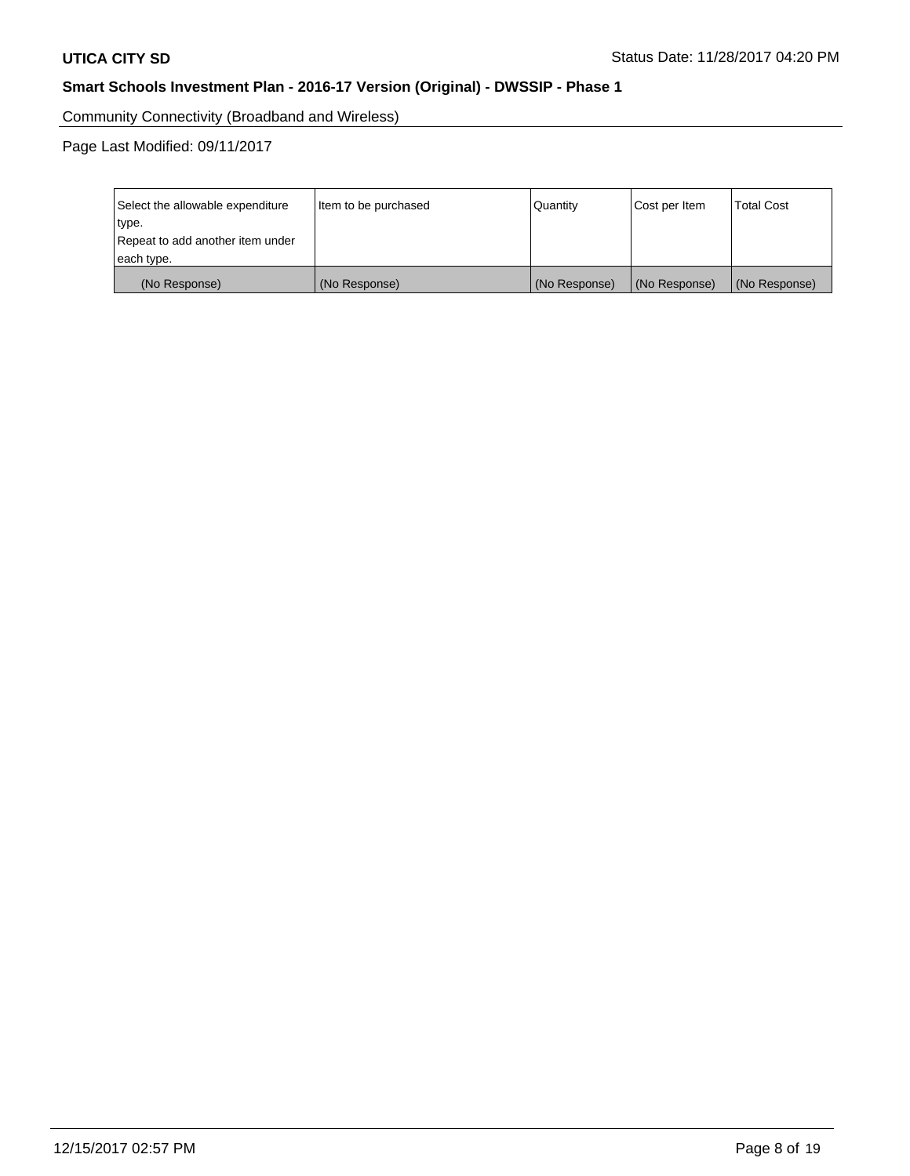Community Connectivity (Broadband and Wireless)

Page Last Modified: 09/11/2017

| Select the allowable expenditure<br>type.<br>Repeat to add another item under | Item to be purchased | Quantity      | Cost per Item | <b>Total Cost</b> |
|-------------------------------------------------------------------------------|----------------------|---------------|---------------|-------------------|
| each type.                                                                    |                      |               |               |                   |
| (No Response)                                                                 | (No Response)        | (No Response) | (No Response) | (No Response)     |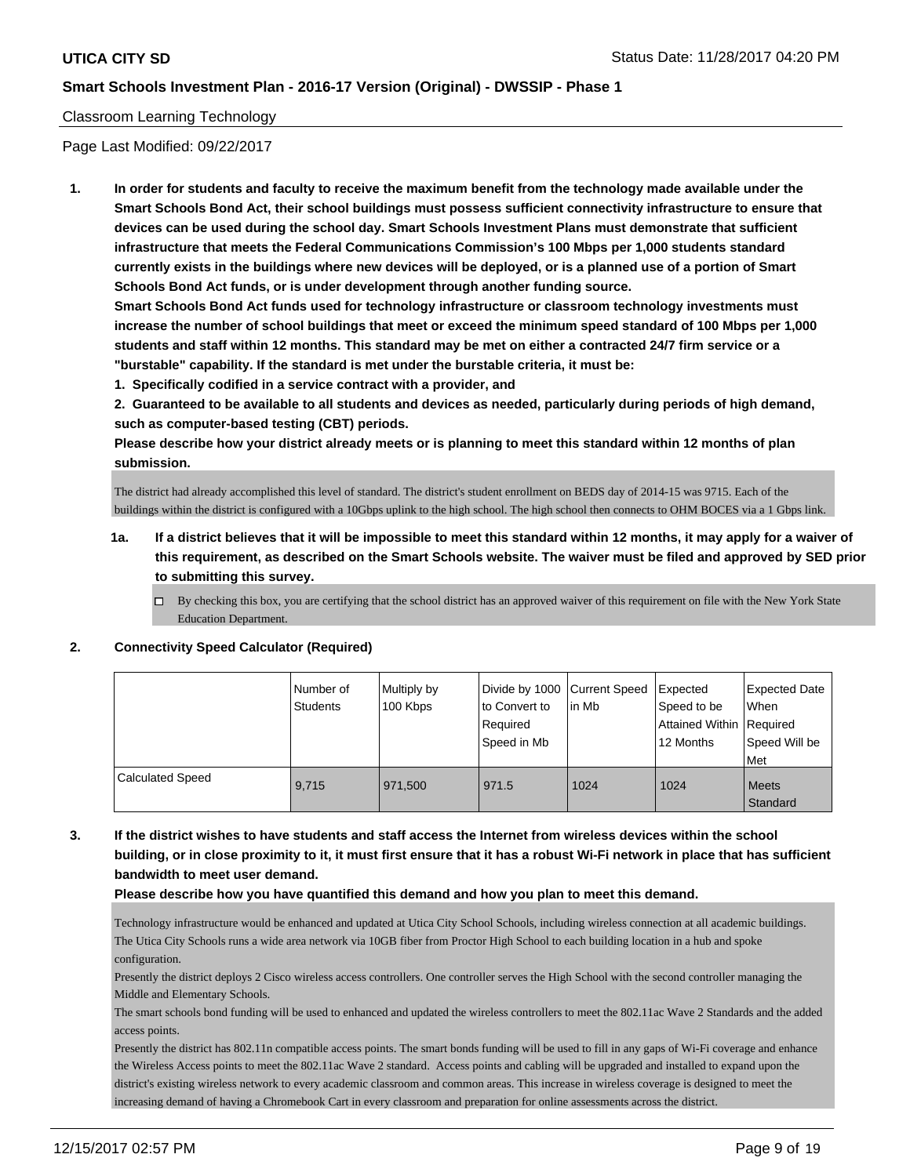## Classroom Learning Technology

Page Last Modified: 09/22/2017

**1. In order for students and faculty to receive the maximum benefit from the technology made available under the Smart Schools Bond Act, their school buildings must possess sufficient connectivity infrastructure to ensure that devices can be used during the school day. Smart Schools Investment Plans must demonstrate that sufficient infrastructure that meets the Federal Communications Commission's 100 Mbps per 1,000 students standard currently exists in the buildings where new devices will be deployed, or is a planned use of a portion of Smart Schools Bond Act funds, or is under development through another funding source.**

**Smart Schools Bond Act funds used for technology infrastructure or classroom technology investments must increase the number of school buildings that meet or exceed the minimum speed standard of 100 Mbps per 1,000 students and staff within 12 months. This standard may be met on either a contracted 24/7 firm service or a "burstable" capability. If the standard is met under the burstable criteria, it must be:**

**1. Specifically codified in a service contract with a provider, and**

**2. Guaranteed to be available to all students and devices as needed, particularly during periods of high demand, such as computer-based testing (CBT) periods.**

**Please describe how your district already meets or is planning to meet this standard within 12 months of plan submission.**

The district had already accomplished this level of standard. The district's student enrollment on BEDS day of 2014-15 was 9715. Each of the buildings within the district is configured with a 10Gbps uplink to the high school. The high school then connects to OHM BOCES via a 1 Gbps link.

- **1a. If a district believes that it will be impossible to meet this standard within 12 months, it may apply for a waiver of this requirement, as described on the Smart Schools website. The waiver must be filed and approved by SED prior to submitting this survey.**
	- $\Box$  By checking this box, you are certifying that the school district has an approved waiver of this requirement on file with the New York State Education Department.

#### **2. Connectivity Speed Calculator (Required)**

|                         | Number of<br>Students | Multiply by<br>100 Kbps | Divide by 1000 Current Speed<br>to Convert to<br>Required<br>Speed in Mb | lin Mb | Expected<br>Speed to be<br>Attained Within   Required<br>12 Months | <b>Expected Date</b><br>When<br>Speed Will be<br>Met |
|-------------------------|-----------------------|-------------------------|--------------------------------------------------------------------------|--------|--------------------------------------------------------------------|------------------------------------------------------|
| <b>Calculated Speed</b> | 9.715                 | 971.500                 | 971.5                                                                    | 1024   | 1024                                                               | <b>Meets</b><br>Standard                             |

**3. If the district wishes to have students and staff access the Internet from wireless devices within the school building, or in close proximity to it, it must first ensure that it has a robust Wi-Fi network in place that has sufficient bandwidth to meet user demand.**

**Please describe how you have quantified this demand and how you plan to meet this demand.**

Technology infrastructure would be enhanced and updated at Utica City School Schools, including wireless connection at all academic buildings. The Utica City Schools runs a wide area network via 10GB fiber from Proctor High School to each building location in a hub and spoke configuration.

Presently the district deploys 2 Cisco wireless access controllers. One controller serves the High School with the second controller managing the Middle and Elementary Schools.

The smart schools bond funding will be used to enhanced and updated the wireless controllers to meet the 802.11ac Wave 2 Standards and the added access points.

Presently the district has 802.11n compatible access points. The smart bonds funding will be used to fill in any gaps of Wi-Fi coverage and enhance the Wireless Access points to meet the 802.11ac Wave 2 standard. Access points and cabling will be upgraded and installed to expand upon the district's existing wireless network to every academic classroom and common areas. This increase in wireless coverage is designed to meet the increasing demand of having a Chromebook Cart in every classroom and preparation for online assessments across the district.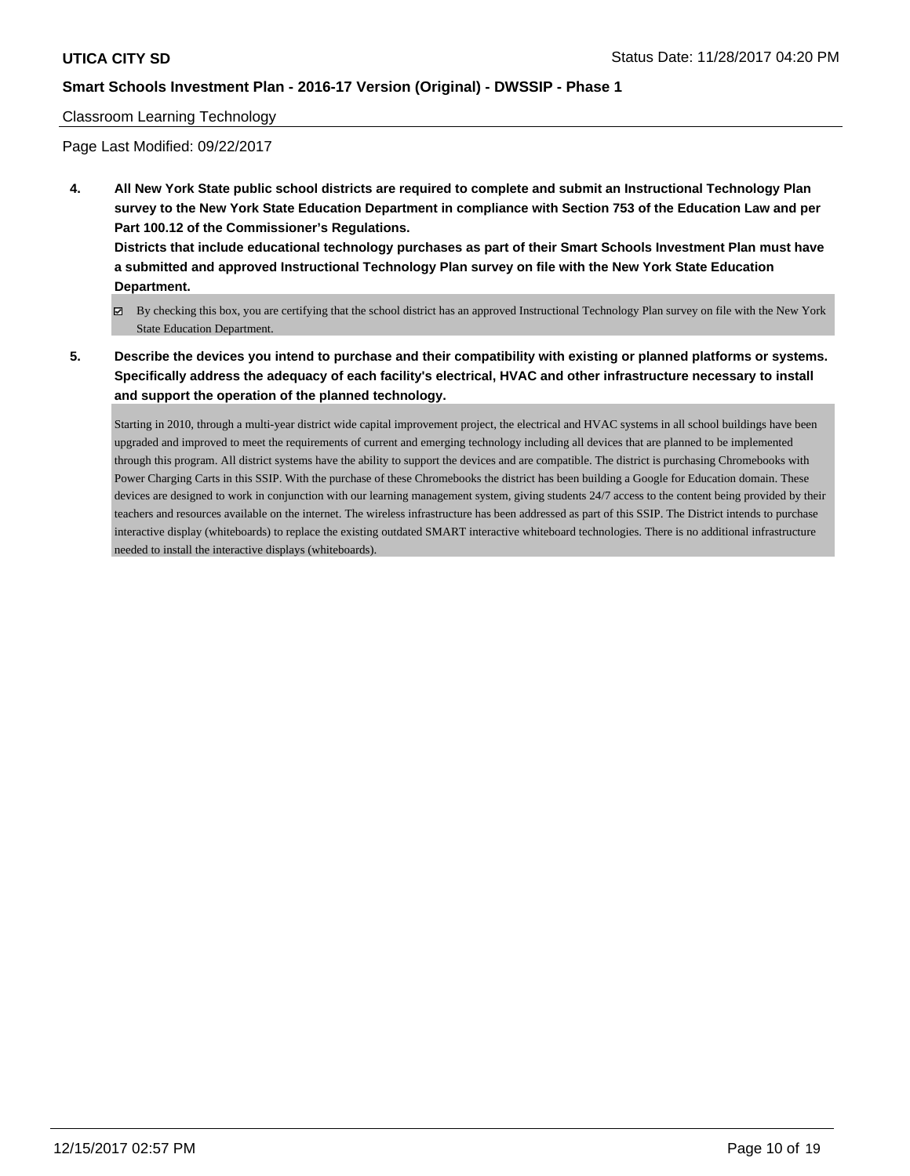## Classroom Learning Technology

Page Last Modified: 09/22/2017

**4. All New York State public school districts are required to complete and submit an Instructional Technology Plan survey to the New York State Education Department in compliance with Section 753 of the Education Law and per Part 100.12 of the Commissioner's Regulations.**

**Districts that include educational technology purchases as part of their Smart Schools Investment Plan must have a submitted and approved Instructional Technology Plan survey on file with the New York State Education Department.**

- By checking this box, you are certifying that the school district has an approved Instructional Technology Plan survey on file with the New York State Education Department.
- **5. Describe the devices you intend to purchase and their compatibility with existing or planned platforms or systems. Specifically address the adequacy of each facility's electrical, HVAC and other infrastructure necessary to install and support the operation of the planned technology.**

Starting in 2010, through a multi-year district wide capital improvement project, the electrical and HVAC systems in all school buildings have been upgraded and improved to meet the requirements of current and emerging technology including all devices that are planned to be implemented through this program. All district systems have the ability to support the devices and are compatible. The district is purchasing Chromebooks with Power Charging Carts in this SSIP. With the purchase of these Chromebooks the district has been building a Google for Education domain. These devices are designed to work in conjunction with our learning management system, giving students 24/7 access to the content being provided by their teachers and resources available on the internet. The wireless infrastructure has been addressed as part of this SSIP. The District intends to purchase interactive display (whiteboards) to replace the existing outdated SMART interactive whiteboard technologies. There is no additional infrastructure needed to install the interactive displays (whiteboards).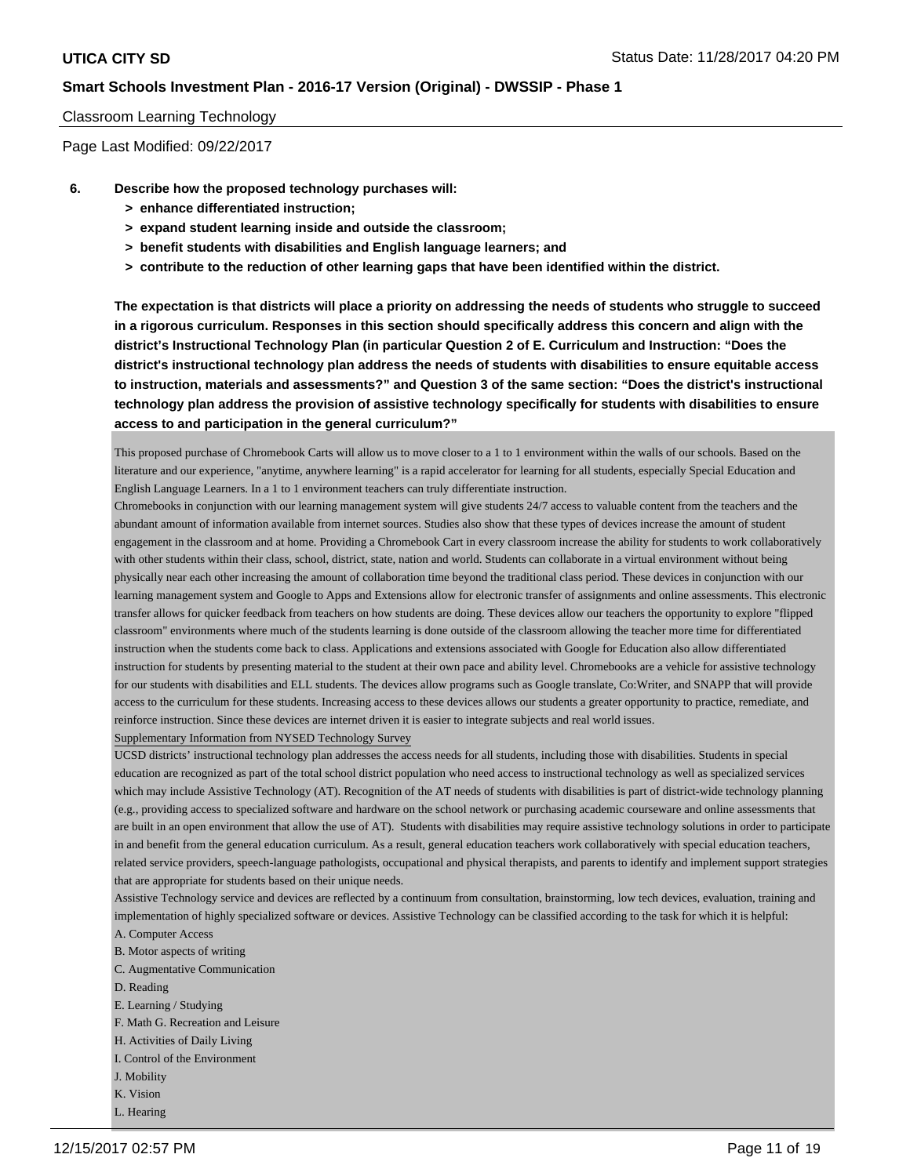## Classroom Learning Technology

Page Last Modified: 09/22/2017

- **6. Describe how the proposed technology purchases will:**
	- **> enhance differentiated instruction;**
	- **> expand student learning inside and outside the classroom;**
	- **> benefit students with disabilities and English language learners; and**
	- **> contribute to the reduction of other learning gaps that have been identified within the district.**

**The expectation is that districts will place a priority on addressing the needs of students who struggle to succeed in a rigorous curriculum. Responses in this section should specifically address this concern and align with the district's Instructional Technology Plan (in particular Question 2 of E. Curriculum and Instruction: "Does the district's instructional technology plan address the needs of students with disabilities to ensure equitable access to instruction, materials and assessments?" and Question 3 of the same section: "Does the district's instructional technology plan address the provision of assistive technology specifically for students with disabilities to ensure access to and participation in the general curriculum?"**

This proposed purchase of Chromebook Carts will allow us to move closer to a 1 to 1 environment within the walls of our schools. Based on the literature and our experience, "anytime, anywhere learning" is a rapid accelerator for learning for all students, especially Special Education and English Language Learners. In a 1 to 1 environment teachers can truly differentiate instruction.

Chromebooks in conjunction with our learning management system will give students 24/7 access to valuable content from the teachers and the abundant amount of information available from internet sources. Studies also show that these types of devices increase the amount of student engagement in the classroom and at home. Providing a Chromebook Cart in every classroom increase the ability for students to work collaboratively with other students within their class, school, district, state, nation and world. Students can collaborate in a virtual environment without being physically near each other increasing the amount of collaboration time beyond the traditional class period. These devices in conjunction with our learning management system and Google to Apps and Extensions allow for electronic transfer of assignments and online assessments. This electronic transfer allows for quicker feedback from teachers on how students are doing. These devices allow our teachers the opportunity to explore "flipped classroom" environments where much of the students learning is done outside of the classroom allowing the teacher more time for differentiated instruction when the students come back to class. Applications and extensions associated with Google for Education also allow differentiated instruction for students by presenting material to the student at their own pace and ability level. Chromebooks are a vehicle for assistive technology for our students with disabilities and ELL students. The devices allow programs such as Google translate, Co:Writer, and SNAPP that will provide access to the curriculum for these students. Increasing access to these devices allows our students a greater opportunity to practice, remediate, and reinforce instruction. Since these devices are internet driven it is easier to integrate subjects and real world issues.

Supplementary Information from NYSED Technology Survey

UCSD districts' instructional technology plan addresses the access needs for all students, including those with disabilities. Students in special education are recognized as part of the total school district population who need access to instructional technology as well as specialized services which may include Assistive Technology (AT). Recognition of the AT needs of students with disabilities is part of district-wide technology planning (e.g., providing access to specialized software and hardware on the school network or purchasing academic courseware and online assessments that are built in an open environment that allow the use of AT). Students with disabilities may require assistive technology solutions in order to participate in and benefit from the general education curriculum. As a result, general education teachers work collaboratively with special education teachers, related service providers, speech-language pathologists, occupational and physical therapists, and parents to identify and implement support strategies that are appropriate for students based on their unique needs.

Assistive Technology service and devices are reflected by a continuum from consultation, brainstorming, low tech devices, evaluation, training and implementation of highly specialized software or devices. Assistive Technology can be classified according to the task for which it is helpful: A. Computer Access

- 
- B. Motor aspects of writing
- C. Augmentative Communication
- D. Reading
- E. Learning / Studying
- F. Math G. Recreation and Leisure
- H. Activities of Daily Living
- I. Control of the Environment
- J. Mobility
- K. Vision
- L. Hearing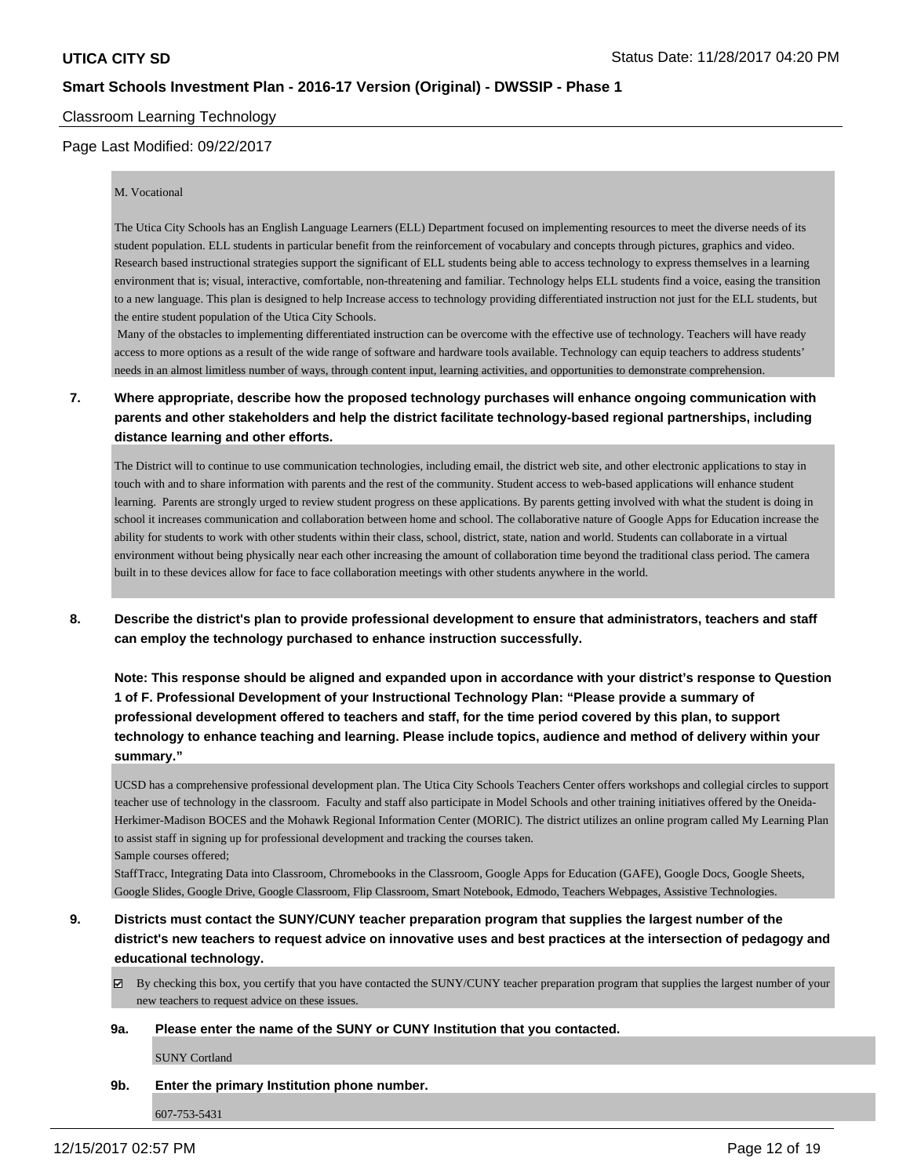Classroom Learning Technology

## Page Last Modified: 09/22/2017

#### M. Vocational

The Utica City Schools has an English Language Learners (ELL) Department focused on implementing resources to meet the diverse needs of its student population. ELL students in particular benefit from the reinforcement of vocabulary and concepts through pictures, graphics and video. Research based instructional strategies support the significant of ELL students being able to access technology to express themselves in a learning environment that is; visual, interactive, comfortable, non-threatening and familiar. Technology helps ELL students find a voice, easing the transition to a new language. This plan is designed to help Increase access to technology providing differentiated instruction not just for the ELL students, but the entire student population of the Utica City Schools.

 Many of the obstacles to implementing differentiated instruction can be overcome with the effective use of technology. Teachers will have ready access to more options as a result of the wide range of software and hardware tools available. Technology can equip teachers to address students' needs in an almost limitless number of ways, through content input, learning activities, and opportunities to demonstrate comprehension.

# **7. Where appropriate, describe how the proposed technology purchases will enhance ongoing communication with parents and other stakeholders and help the district facilitate technology-based regional partnerships, including distance learning and other efforts.**

The District will to continue to use communication technologies, including email, the district web site, and other electronic applications to stay in touch with and to share information with parents and the rest of the community. Student access to web-based applications will enhance student learning. Parents are strongly urged to review student progress on these applications. By parents getting involved with what the student is doing in school it increases communication and collaboration between home and school. The collaborative nature of Google Apps for Education increase the ability for students to work with other students within their class, school, district, state, nation and world. Students can collaborate in a virtual environment without being physically near each other increasing the amount of collaboration time beyond the traditional class period. The camera built in to these devices allow for face to face collaboration meetings with other students anywhere in the world.

**8. Describe the district's plan to provide professional development to ensure that administrators, teachers and staff can employ the technology purchased to enhance instruction successfully.**

**Note: This response should be aligned and expanded upon in accordance with your district's response to Question 1 of F. Professional Development of your Instructional Technology Plan: "Please provide a summary of professional development offered to teachers and staff, for the time period covered by this plan, to support technology to enhance teaching and learning. Please include topics, audience and method of delivery within your summary."**

UCSD has a comprehensive professional development plan. The Utica City Schools Teachers Center offers workshops and collegial circles to support teacher use of technology in the classroom. Faculty and staff also participate in Model Schools and other training initiatives offered by the Oneida-Herkimer-Madison BOCES and the Mohawk Regional Information Center (MORIC). The district utilizes an online program called My Learning Plan to assist staff in signing up for professional development and tracking the courses taken. Sample courses offered;

StaffTracc, Integrating Data into Classroom, Chromebooks in the Classroom, Google Apps for Education (GAFE), Google Docs, Google Sheets, Google Slides, Google Drive, Google Classroom, Flip Classroom, Smart Notebook, Edmodo, Teachers Webpages, Assistive Technologies.

# **9. Districts must contact the SUNY/CUNY teacher preparation program that supplies the largest number of the district's new teachers to request advice on innovative uses and best practices at the intersection of pedagogy and educational technology.**

 $\boxtimes$  By checking this box, you certify that you have contacted the SUNY/CUNY teacher preparation program that supplies the largest number of your new teachers to request advice on these issues.

#### **9a. Please enter the name of the SUNY or CUNY Institution that you contacted.**

SUNY Cortland

#### **9b. Enter the primary Institution phone number.**

607-753-5431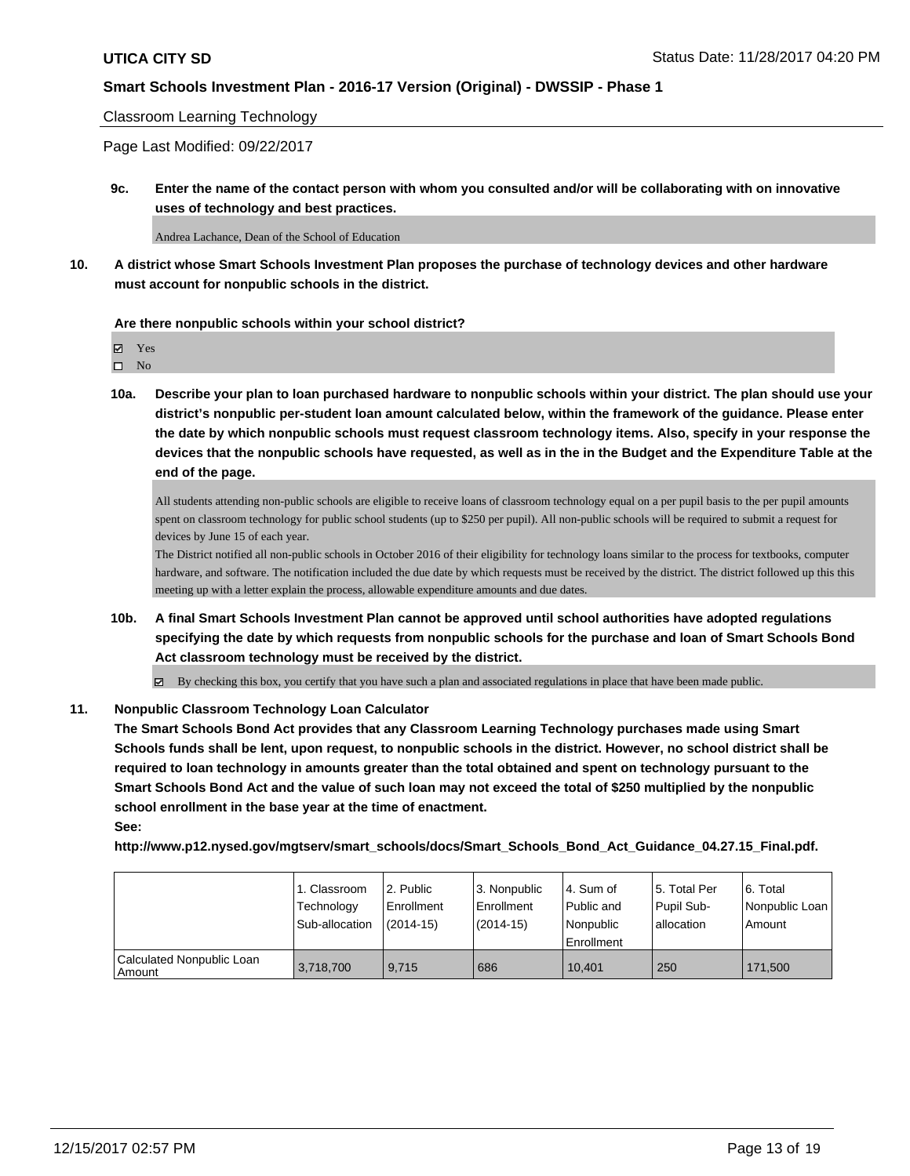## Classroom Learning Technology

Page Last Modified: 09/22/2017

**9c. Enter the name of the contact person with whom you consulted and/or will be collaborating with on innovative uses of technology and best practices.**

Andrea Lachance, Dean of the School of Education

**10. A district whose Smart Schools Investment Plan proposes the purchase of technology devices and other hardware must account for nonpublic schools in the district.**

#### **Are there nonpublic schools within your school district?**

Yes

 $\square$  No

**10a. Describe your plan to loan purchased hardware to nonpublic schools within your district. The plan should use your district's nonpublic per-student loan amount calculated below, within the framework of the guidance. Please enter the date by which nonpublic schools must request classroom technology items. Also, specify in your response the devices that the nonpublic schools have requested, as well as in the in the Budget and the Expenditure Table at the end of the page.**

All students attending non-public schools are eligible to receive loans of classroom technology equal on a per pupil basis to the per pupil amounts spent on classroom technology for public school students (up to \$250 per pupil). All non-public schools will be required to submit a request for devices by June 15 of each year.

The District notified all non-public schools in October 2016 of their eligibility for technology loans similar to the process for textbooks, computer hardware, and software. The notification included the due date by which requests must be received by the district. The district followed up this this meeting up with a letter explain the process, allowable expenditure amounts and due dates.

**10b. A final Smart Schools Investment Plan cannot be approved until school authorities have adopted regulations specifying the date by which requests from nonpublic schools for the purchase and loan of Smart Schools Bond Act classroom technology must be received by the district.**

By checking this box, you certify that you have such a plan and associated regulations in place that have been made public.

#### **11. Nonpublic Classroom Technology Loan Calculator**

**The Smart Schools Bond Act provides that any Classroom Learning Technology purchases made using Smart Schools funds shall be lent, upon request, to nonpublic schools in the district. However, no school district shall be required to loan technology in amounts greater than the total obtained and spent on technology pursuant to the Smart Schools Bond Act and the value of such loan may not exceed the total of \$250 multiplied by the nonpublic school enrollment in the base year at the time of enactment. See:**

**http://www.p12.nysed.gov/mgtserv/smart\_schools/docs/Smart\_Schools\_Bond\_Act\_Guidance\_04.27.15\_Final.pdf.**

|                                       | 1. Classroom   | 2. Public     | 3. Nonpublic | l 4. Sum of | 15. Total Per | l 6. Total     |
|---------------------------------------|----------------|---------------|--------------|-------------|---------------|----------------|
|                                       | Technology     | Enrollment    | Enrollment   | Public and  | Pupil Sub-    | Nonpublic Loan |
|                                       | Sub-allocation | $(2014 - 15)$ | $(2014-15)$  | Nonpublic   | lallocation   | Amount         |
|                                       |                |               |              | Enrollment  |               |                |
| Calculated Nonpublic Loan<br>l Amount | 3,718,700      | 9.715         | 686          | 10.401      | 250           | 171.500        |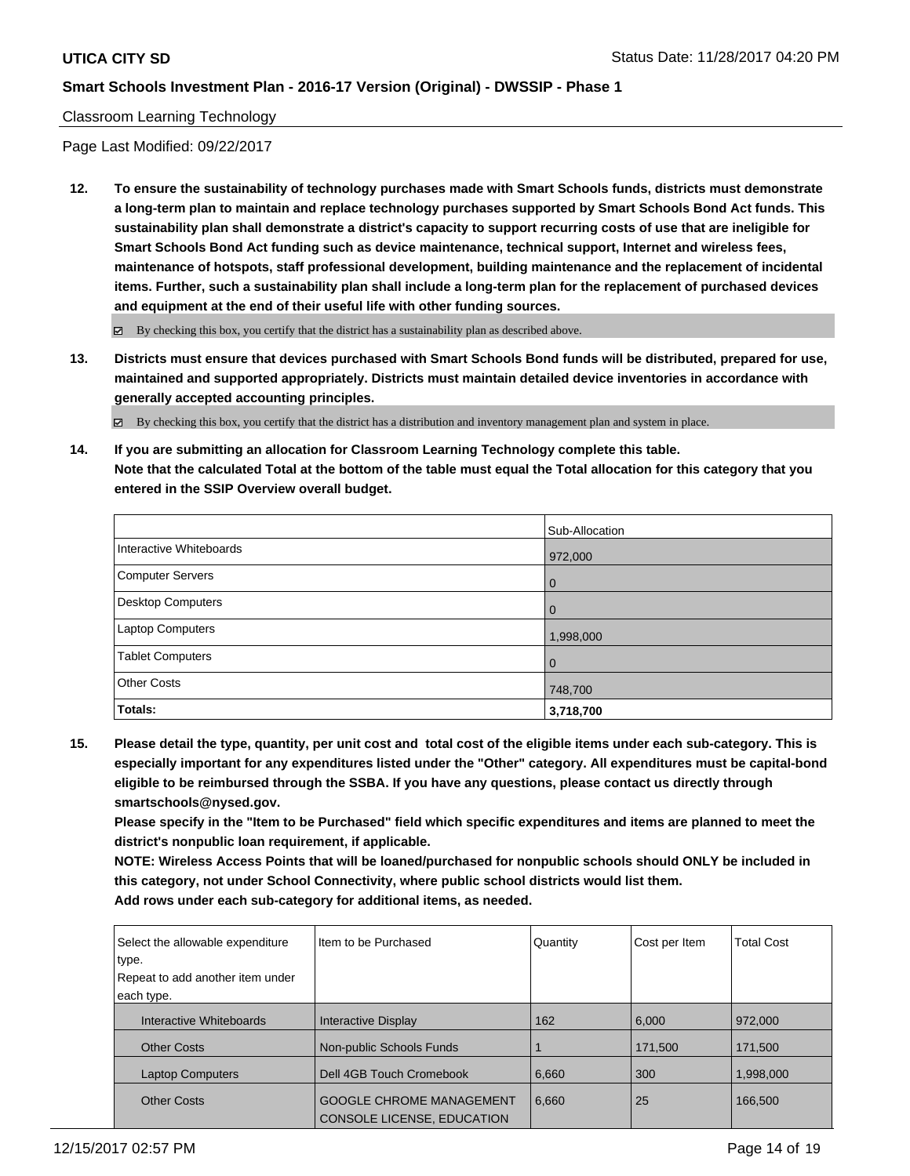## Classroom Learning Technology

Page Last Modified: 09/22/2017

**12. To ensure the sustainability of technology purchases made with Smart Schools funds, districts must demonstrate a long-term plan to maintain and replace technology purchases supported by Smart Schools Bond Act funds. This sustainability plan shall demonstrate a district's capacity to support recurring costs of use that are ineligible for Smart Schools Bond Act funding such as device maintenance, technical support, Internet and wireless fees, maintenance of hotspots, staff professional development, building maintenance and the replacement of incidental items. Further, such a sustainability plan shall include a long-term plan for the replacement of purchased devices and equipment at the end of their useful life with other funding sources.**

 $\boxtimes$  By checking this box, you certify that the district has a sustainability plan as described above.

**13. Districts must ensure that devices purchased with Smart Schools Bond funds will be distributed, prepared for use, maintained and supported appropriately. Districts must maintain detailed device inventories in accordance with generally accepted accounting principles.**

By checking this box, you certify that the district has a distribution and inventory management plan and system in place.

**14. If you are submitting an allocation for Classroom Learning Technology complete this table. Note that the calculated Total at the bottom of the table must equal the Total allocation for this category that you entered in the SSIP Overview overall budget.**

|                         | Sub-Allocation |
|-------------------------|----------------|
| Interactive Whiteboards | 972,000        |
| Computer Servers        | l 0            |
| Desktop Computers       | l O            |
| Laptop Computers        | 1,998,000      |
| <b>Tablet Computers</b> | l O            |
| <b>Other Costs</b>      | 748,700        |
| Totals:                 | 3,718,700      |

**15. Please detail the type, quantity, per unit cost and total cost of the eligible items under each sub-category. This is especially important for any expenditures listed under the "Other" category. All expenditures must be capital-bond eligible to be reimbursed through the SSBA. If you have any questions, please contact us directly through smartschools@nysed.gov.**

**Please specify in the "Item to be Purchased" field which specific expenditures and items are planned to meet the district's nonpublic loan requirement, if applicable.**

**NOTE: Wireless Access Points that will be loaned/purchased for nonpublic schools should ONLY be included in this category, not under School Connectivity, where public school districts would list them. Add rows under each sub-category for additional items, as needed.**

| Select the allowable expenditure<br>type. | Iltem to be Purchased                                                | Quantity | Cost per Item | <b>Total Cost</b> |
|-------------------------------------------|----------------------------------------------------------------------|----------|---------------|-------------------|
| Repeat to add another item under          |                                                                      |          |               |                   |
| each type.                                |                                                                      |          |               |                   |
| Interactive Whiteboards                   | <b>Interactive Display</b>                                           | 162      | 6,000         | 972,000           |
| <b>Other Costs</b>                        | Non-public Schools Funds                                             |          | 171,500       | 171,500           |
| <b>Laptop Computers</b>                   | Dell 4GB Touch Cromebook                                             | 6,660    | 300           | 1,998,000         |
| <b>Other Costs</b>                        | <b>GOOGLE CHROME MANAGEMENT</b><br><b>CONSOLE LICENSE, EDUCATION</b> | 6,660    | 25            | 166.500           |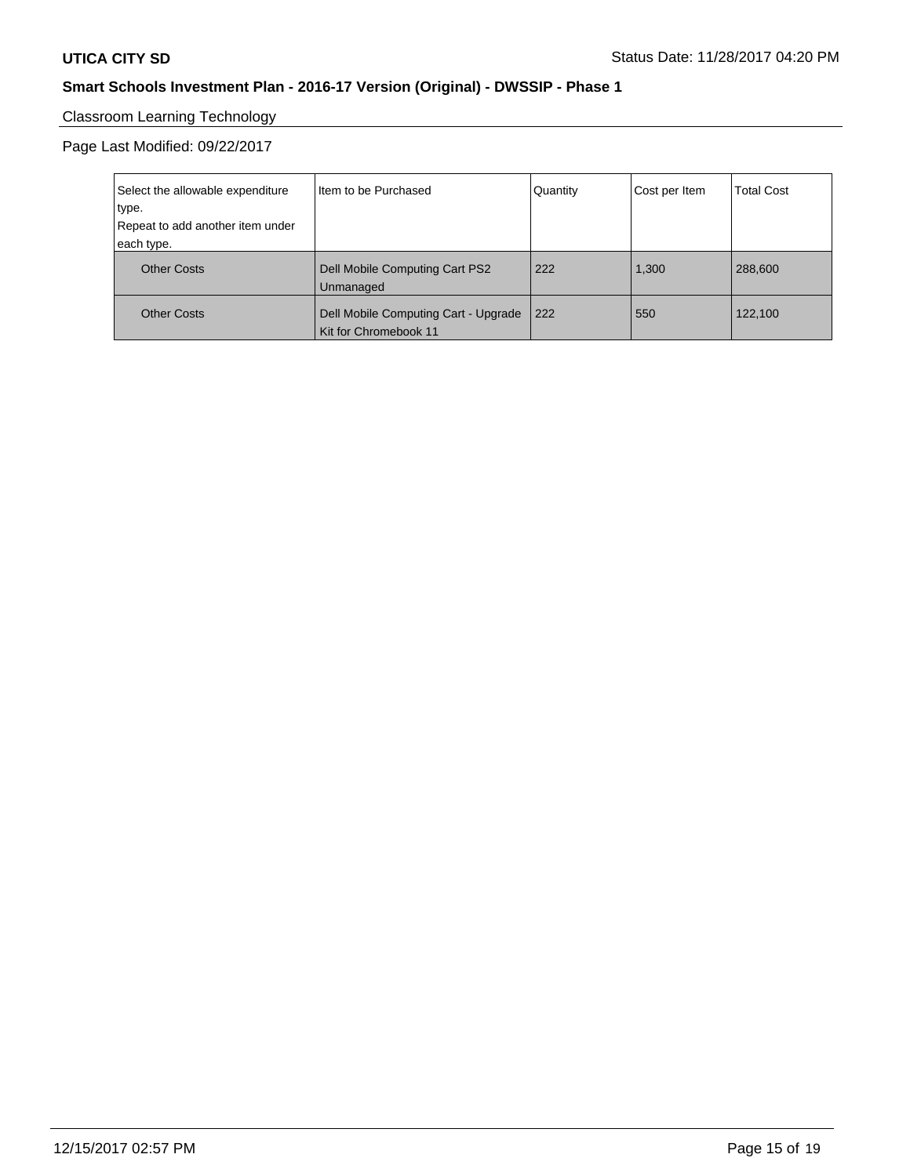# Classroom Learning Technology

Page Last Modified: 09/22/2017

| Select the allowable expenditure | Item to be Purchased                                          | Quantity | Cost per Item | <b>Total Cost</b> |
|----------------------------------|---------------------------------------------------------------|----------|---------------|-------------------|
| type.                            |                                                               |          |               |                   |
| Repeat to add another item under |                                                               |          |               |                   |
| each type.                       |                                                               |          |               |                   |
| <b>Other Costs</b>               | Dell Mobile Computing Cart PS2<br>Unmanaged                   | 222      | 1.300         | 288,600           |
| <b>Other Costs</b>               | Dell Mobile Computing Cart - Upgrade<br>Kit for Chromebook 11 | 222      | 550           | 122,100           |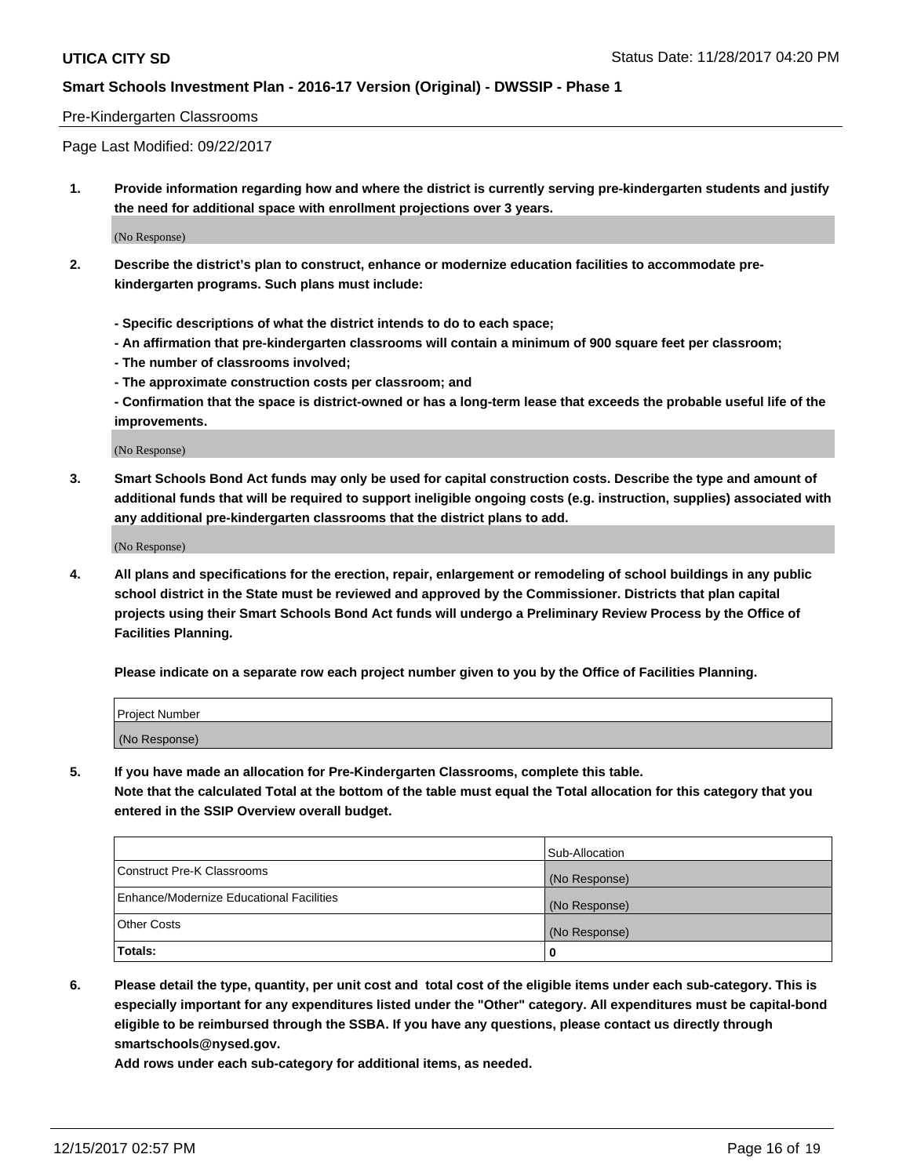#### Pre-Kindergarten Classrooms

Page Last Modified: 09/22/2017

**1. Provide information regarding how and where the district is currently serving pre-kindergarten students and justify the need for additional space with enrollment projections over 3 years.**

(No Response)

- **2. Describe the district's plan to construct, enhance or modernize education facilities to accommodate prekindergarten programs. Such plans must include:**
	- **Specific descriptions of what the district intends to do to each space;**
	- **An affirmation that pre-kindergarten classrooms will contain a minimum of 900 square feet per classroom;**
	- **The number of classrooms involved;**
	- **The approximate construction costs per classroom; and**
	- **Confirmation that the space is district-owned or has a long-term lease that exceeds the probable useful life of the improvements.**

(No Response)

**3. Smart Schools Bond Act funds may only be used for capital construction costs. Describe the type and amount of additional funds that will be required to support ineligible ongoing costs (e.g. instruction, supplies) associated with any additional pre-kindergarten classrooms that the district plans to add.**

(No Response)

**4. All plans and specifications for the erection, repair, enlargement or remodeling of school buildings in any public school district in the State must be reviewed and approved by the Commissioner. Districts that plan capital projects using their Smart Schools Bond Act funds will undergo a Preliminary Review Process by the Office of Facilities Planning.**

**Please indicate on a separate row each project number given to you by the Office of Facilities Planning.**

| Project Number |  |
|----------------|--|
| (No Response)  |  |

**5. If you have made an allocation for Pre-Kindergarten Classrooms, complete this table.**

**Note that the calculated Total at the bottom of the table must equal the Total allocation for this category that you entered in the SSIP Overview overall budget.**

|                                          | Sub-Allocation |
|------------------------------------------|----------------|
| Construct Pre-K Classrooms               | (No Response)  |
| Enhance/Modernize Educational Facilities | (No Response)  |
| <b>Other Costs</b>                       | (No Response)  |
| <b>Totals:</b>                           | 0              |

**6. Please detail the type, quantity, per unit cost and total cost of the eligible items under each sub-category. This is especially important for any expenditures listed under the "Other" category. All expenditures must be capital-bond eligible to be reimbursed through the SSBA. If you have any questions, please contact us directly through smartschools@nysed.gov.**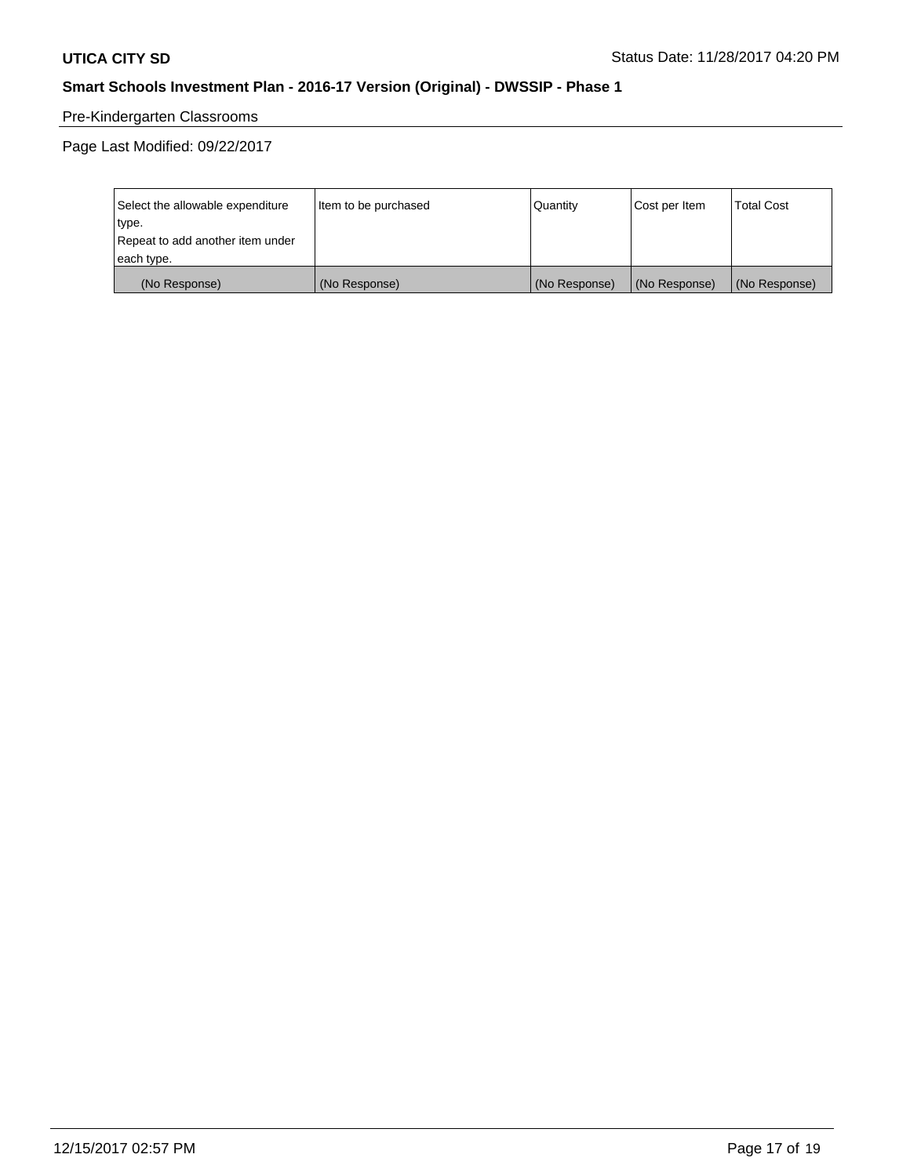# Pre-Kindergarten Classrooms

Page Last Modified: 09/22/2017

| Select the allowable expenditure | Item to be purchased | Quantity      | Cost per Item | <b>Total Cost</b> |
|----------------------------------|----------------------|---------------|---------------|-------------------|
| type.                            |                      |               |               |                   |
| Repeat to add another item under |                      |               |               |                   |
| each type.                       |                      |               |               |                   |
| (No Response)                    | (No Response)        | (No Response) | (No Response) | (No Response)     |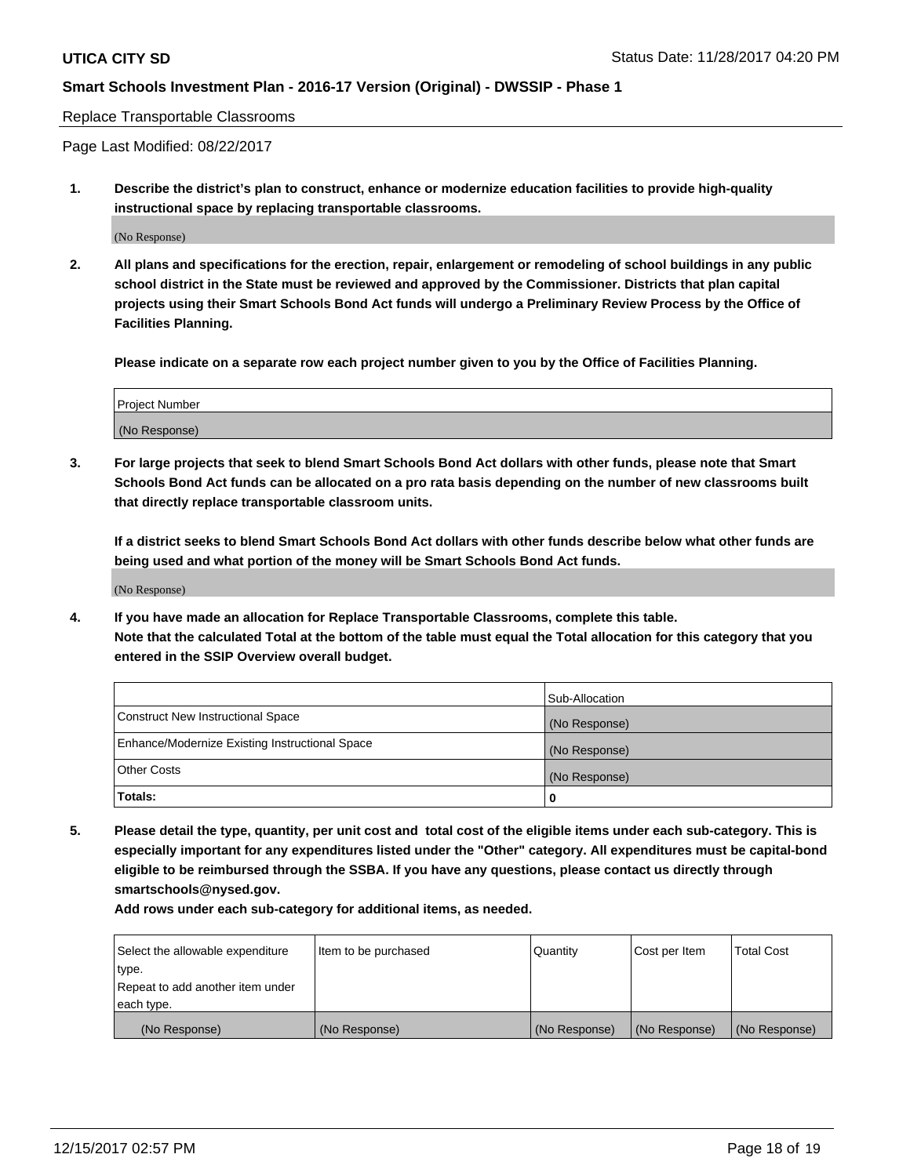#### Replace Transportable Classrooms

Page Last Modified: 08/22/2017

**1. Describe the district's plan to construct, enhance or modernize education facilities to provide high-quality instructional space by replacing transportable classrooms.**

(No Response)

**2. All plans and specifications for the erection, repair, enlargement or remodeling of school buildings in any public school district in the State must be reviewed and approved by the Commissioner. Districts that plan capital projects using their Smart Schools Bond Act funds will undergo a Preliminary Review Process by the Office of Facilities Planning.**

**Please indicate on a separate row each project number given to you by the Office of Facilities Planning.**

| <b>Project Number</b> |  |
|-----------------------|--|
| (No Response)         |  |

**3. For large projects that seek to blend Smart Schools Bond Act dollars with other funds, please note that Smart Schools Bond Act funds can be allocated on a pro rata basis depending on the number of new classrooms built that directly replace transportable classroom units.**

**If a district seeks to blend Smart Schools Bond Act dollars with other funds describe below what other funds are being used and what portion of the money will be Smart Schools Bond Act funds.**

(No Response)

**4. If you have made an allocation for Replace Transportable Classrooms, complete this table. Note that the calculated Total at the bottom of the table must equal the Total allocation for this category that you entered in the SSIP Overview overall budget.**

|                                                | Sub-Allocation |
|------------------------------------------------|----------------|
| Construct New Instructional Space              | (No Response)  |
| Enhance/Modernize Existing Instructional Space | (No Response)  |
| <b>Other Costs</b>                             | (No Response)  |
| Totals:                                        | 0              |

**5. Please detail the type, quantity, per unit cost and total cost of the eligible items under each sub-category. This is especially important for any expenditures listed under the "Other" category. All expenditures must be capital-bond eligible to be reimbursed through the SSBA. If you have any questions, please contact us directly through smartschools@nysed.gov.**

| Select the allowable expenditure<br>type.      | lltem to be purchased | Quantity      | Cost per Item | <b>Total Cost</b> |
|------------------------------------------------|-----------------------|---------------|---------------|-------------------|
| Repeat to add another item under<br>each type. |                       |               |               |                   |
| (No Response)                                  | (No Response)         | (No Response) | (No Response) | (No Response)     |